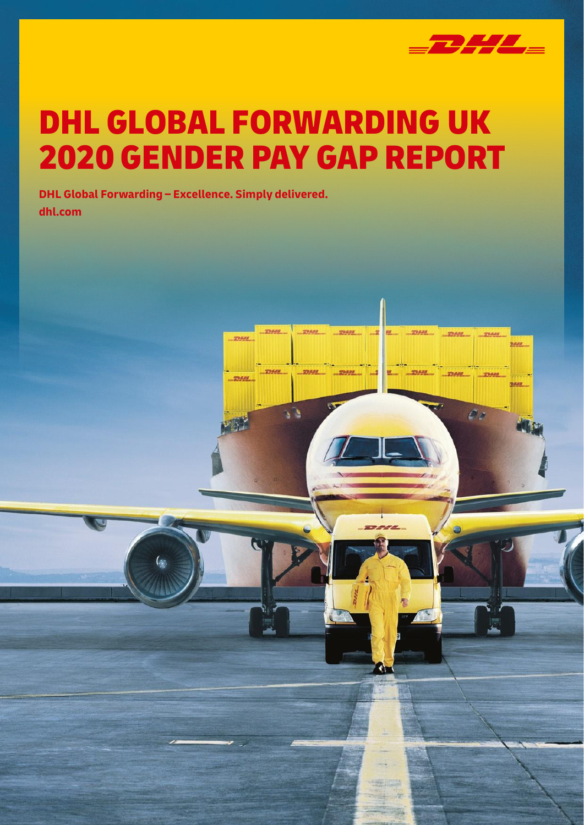

**STRAN** 

E) i

yasa

matana

**UNANI** 

 $\mathcal{L}$ 

## DHL GLOBAL FORWARDING UK 2020 GENDER PAY GAP REPORT

<u>mess</u>

179,629

**DHL Global Forwarding – Excellence. Simply delivered. dhl.com**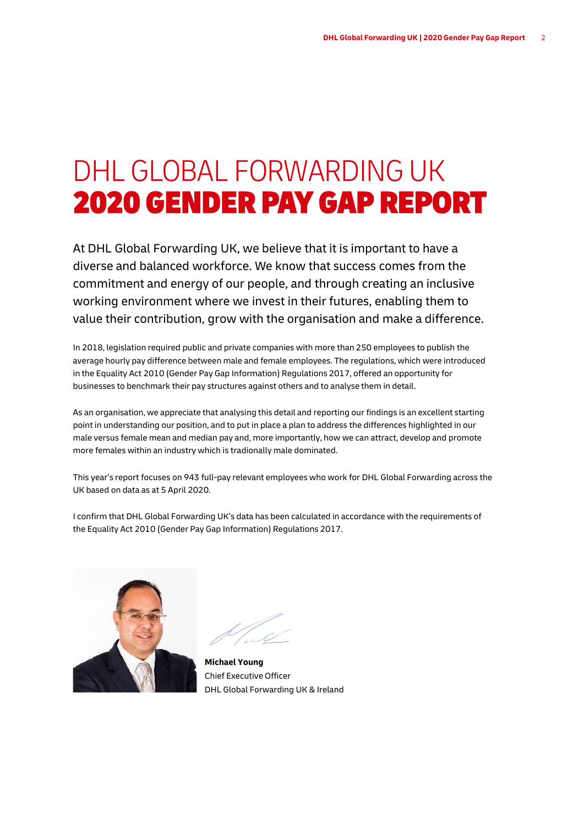## DHL GLOBAL FORWARDING UK 2020 GENDER PAY GAP REPORT

At DHL Global Forwarding UK, we believe that it is important to have a diverse and balanced workforce. We know that success comes from the commitment and energy of our people, and through creating an inclusive working environment where we invest in their futures, enabling them to value their contribution, grow with the organisation and make a difference.

In 2018, legislation required public and private companies with more than 250 employees to publish the average hourly pay difference between male and female employees. The regulations, which were introduced in the Equality Act 2010 (Gender Pay Gap Information) Regulations 2017, offered an opportunity for businesses to benchmark their pay structures against others and to analyse them in detail.

As an organisation, we appreciate that analysing this detail and reporting our findings is an excellent starting point in understanding our position, and to put in place a plan to address the differences highlighted in our male versus female mean and median pay and, more importantly, how we can attract, develop and promote more females within an industry which is tradionally male dominated.

This year's report focuses on 943 full-pay relevant employees who work for DHL Global Forwarding across the UK based on data as at 5 April 2020.

I confirm that DHL Global Forwarding UK's data has been calculated in accordance with the requirements of the Equality Act 2010 (Gender Pay Gap Information) Regulations 2017.



**Michael Young** Chief Executive Officer DHL Global Forwarding UK & Ireland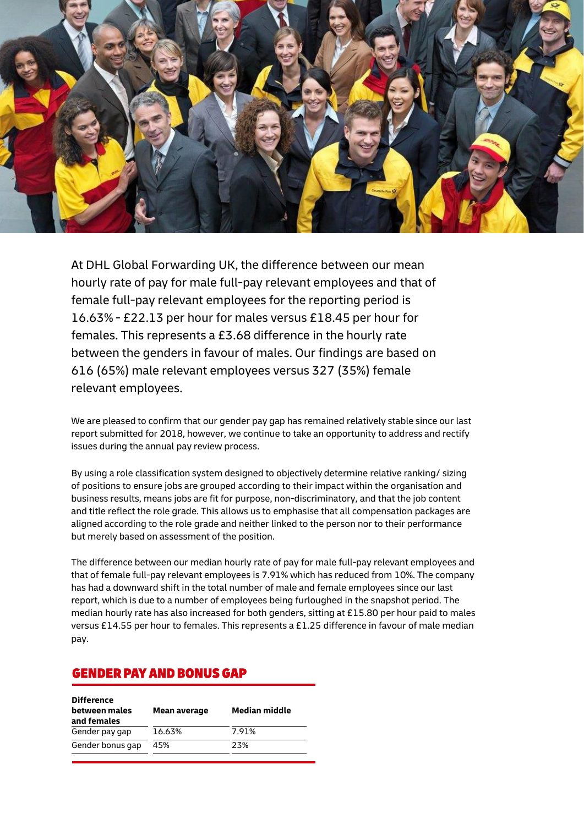

At DHL Global Forwarding UK, the difference between our mean hourly rate of pay for male full-pay relevant employees and that of female full-pay relevant employees for the reporting period is 16.63% - £22.13 per hour for males versus £18.45 per hour for females. This represents a £3.68 difference in the hourly rate between the genders in favour of males. Our findings are based on 616 (65%) male relevant employees versus 327 (35%) female relevant employees.

We are pleased to confirm that our gender pay gap has remained relatively stable since our last report submitted for 2018, however, we continue to take an opportunity to address and rectify issues during the annual pay review process.

By using a role classification system designed to objectively determine relative ranking/ sizing of positions to ensure jobs are grouped according to their impact within the organisation and business results, means jobs are fit for purpose, non-discriminatory, and that the job content and title reflect the role grade. This allows us to emphasise that all compensation packages are aligned according to the role grade and neither linked to the person nor to their performance but merely based on assessment of the position.

The difference between our median hourly rate of pay for male full-pay relevant employees and that of female full-pay relevant employees is 7.91% which has reduced from 10%. The company has had a downward shift in the total number of male and female employees since our last report, which is due to a number of employees being furloughed in the snapshot period. The median hourly rate has also increased for both genders, sitting at £15.80 per hour paid to males versus £14.55 per hour to females. This represents a £1.25 difference in favour of male median pay.

### GENDER PAY AND BONUS GAP

| <b>Difference</b><br>between males<br>and females | Mean average | <b>Median middle</b> |
|---------------------------------------------------|--------------|----------------------|
| Gender pay gap                                    | 16.63%       | 7.91%                |
| Gender bonus gap                                  | 45%          | 23%                  |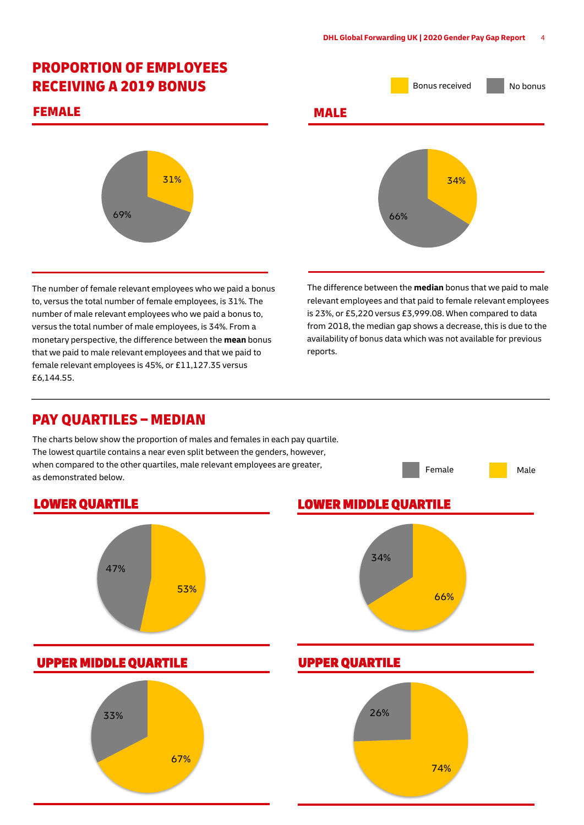## PROPORTION OF EMPLOYEES

#### FEMALE **MALE**



The number of female relevant employees who we paid a bonus to, versus the total number of female employees, is 31%. The number of male relevant employees who we paid a bonus to, versus the total number of male employees, is 34%. From a monetary perspective, the difference between the **mean** bonus that we paid to male relevant employees and that we paid to female relevant employees is 45%, or £11,127.35 versus £6,144.55.

# RECEIVING A 2019 BONUS **Bonus RECEIVING A 2019** BONUS 34% 66%

The difference between the **median** bonus that we paid to male relevant employees and that paid to female relevant employees is 23%, or £5,220 versus £3,999.08. When compared to data from 2018, the median gap shows a decrease, this is due to the availability of bonus data which was not available for previous reports.

Female **Male** 

#### PAY QUARTILES – MEDIAN

The charts below show the proportion of males and females in each pay quartile. The lowest quartile contains a near even split between the genders, however, when compared to the other quartiles, male relevant employees are greater, as demonstrated below.